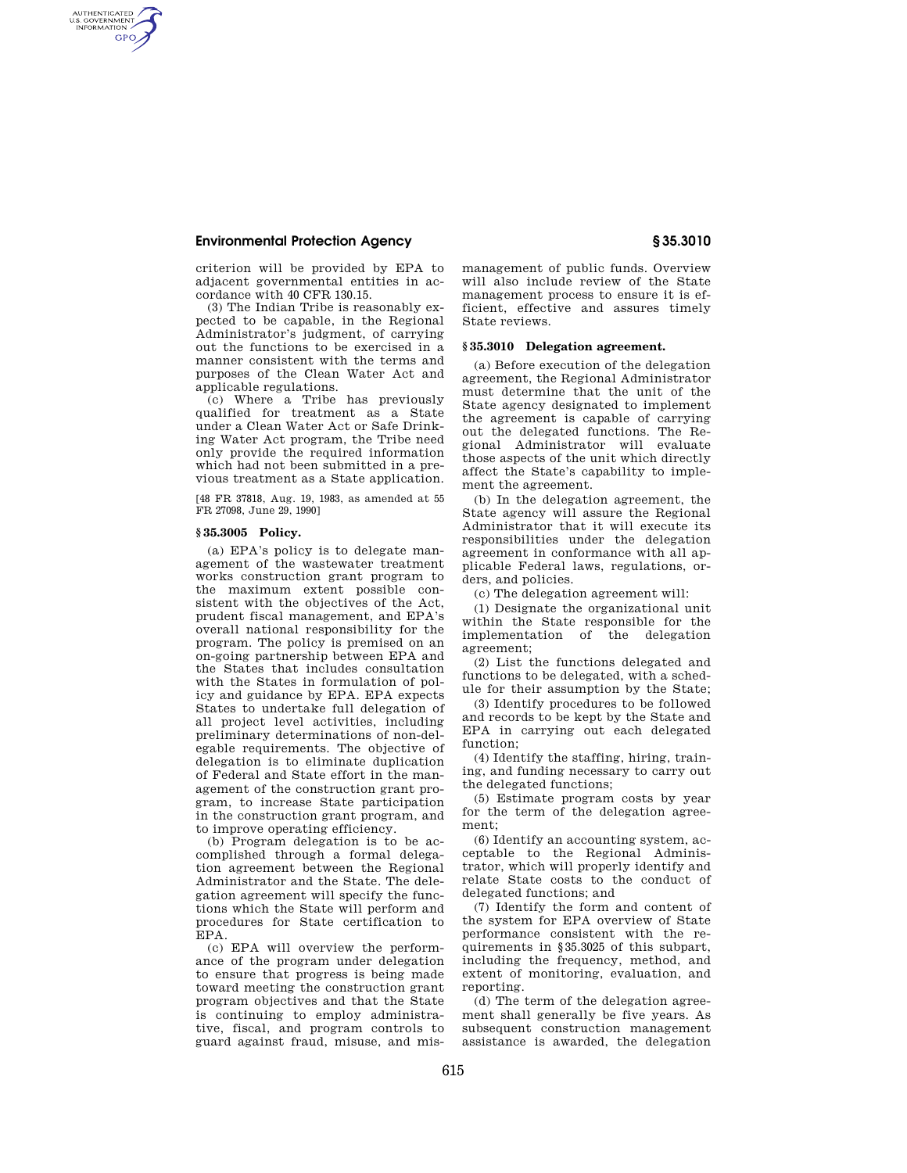# **Environmental Protection Agency § 35.3010**

AUTHENTICATED<br>U.S. GOVERNMENT<br>INFORMATION **GPO** 

> criterion will be provided by EPA to adjacent governmental entities in accordance with 40 CFR 130.15.

(3) The Indian Tribe is reasonably expected to be capable, in the Regional Administrator's judgment, of carrying out the functions to be exercised in a manner consistent with the terms and purposes of the Clean Water Act and applicable regulations.

(c) Where a Tribe has previously qualified for treatment as a State under a Clean Water Act or Safe Drinking Water Act program, the Tribe need only provide the required information which had not been submitted in a previous treatment as a State application.

[48 FR 37818, Aug. 19, 1983, as amended at 55 FR 27098, June 29, 1990]

#### **§ 35.3005 Policy.**

(a) EPA's policy is to delegate management of the wastewater treatment works construction grant program to the maximum extent possible consistent with the objectives of the Act, prudent fiscal management, and EPA's overall national responsibility for the program. The policy is premised on an on-going partnership between EPA and the States that includes consultation with the States in formulation of policy and guidance by EPA. EPA expects States to undertake full delegation of all project level activities, including preliminary determinations of non-delegable requirements. The objective of delegation is to eliminate duplication of Federal and State effort in the management of the construction grant program, to increase State participation in the construction grant program, and to improve operating efficiency.

(b) Program delegation is to be accomplished through a formal delegation agreement between the Regional Administrator and the State. The delegation agreement will specify the functions which the State will perform and procedures for State certification to EPA.

(c) EPA will overview the performance of the program under delegation to ensure that progress is being made toward meeting the construction grant program objectives and that the State is continuing to employ administrative, fiscal, and program controls to guard against fraud, misuse, and mismanagement of public funds. Overview will also include review of the State management process to ensure it is efficient, effective and assures timely State reviews.

### **§ 35.3010 Delegation agreement.**

(a) Before execution of the delegation agreement, the Regional Administrator must determine that the unit of the State agency designated to implement the agreement is capable of carrying out the delegated functions. The Regional Administrator will evaluate those aspects of the unit which directly affect the State's capability to implement the agreement.

(b) In the delegation agreement, the State agency will assure the Regional Administrator that it will execute its responsibilities under the delegation agreement in conformance with all applicable Federal laws, regulations, orders, and policies.

(c) The delegation agreement will:

(1) Designate the organizational unit within the State responsible for the implementation of the delegation agreement;

(2) List the functions delegated and functions to be delegated, with a schedule for their assumption by the State;

(3) Identify procedures to be followed and records to be kept by the State and EPA in carrying out each delegated function;

(4) Identify the staffing, hiring, training, and funding necessary to carry out the delegated functions;

(5) Estimate program costs by year for the term of the delegation agreement;

(6) Identify an accounting system, acceptable to the Regional Administrator, which will properly identify and relate State costs to the conduct of delegated functions; and

(7) Identify the form and content of the system for EPA overview of State performance consistent with the requirements in §35.3025 of this subpart, including the frequency, method, and extent of monitoring, evaluation, and reporting.

(d) The term of the delegation agreement shall generally be five years. As subsequent construction management assistance is awarded, the delegation